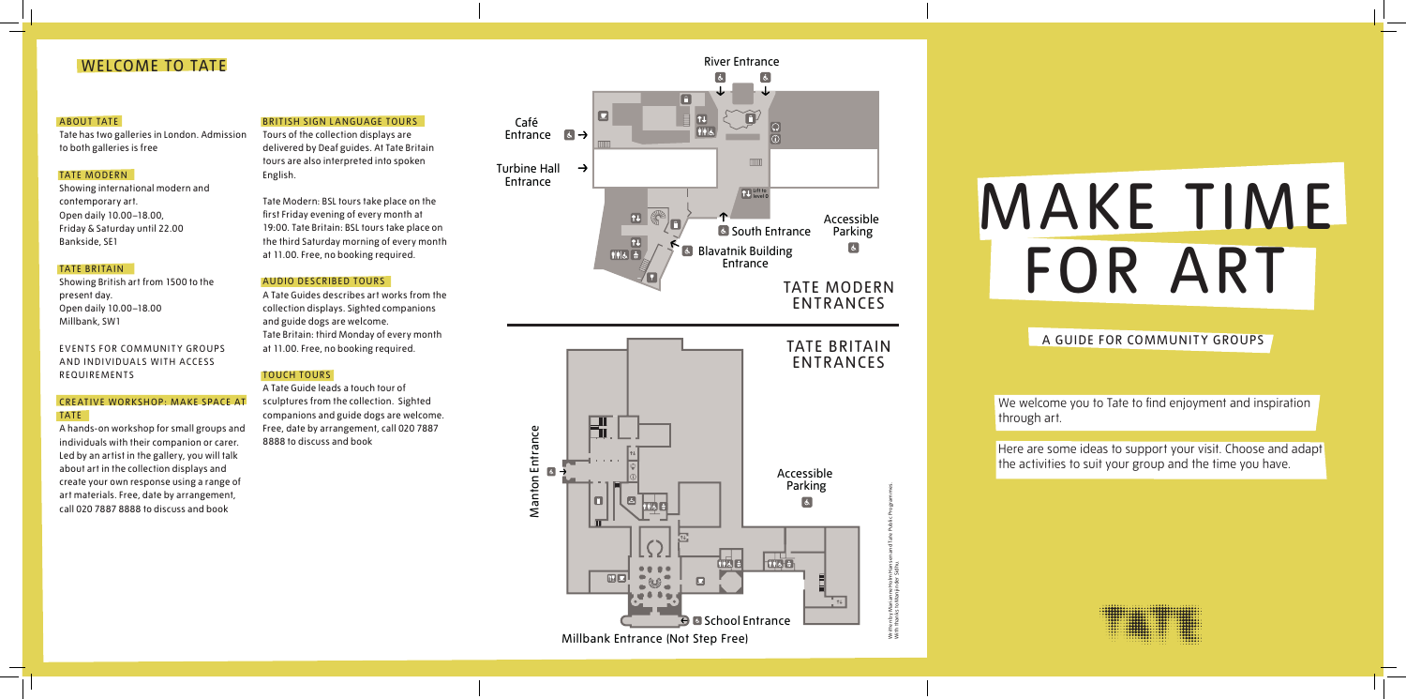Tours of the collection displays are delivered by Deaf guides. At Tate Britain tours are also interpreted into spoken English.

Tate Modern: BSL tours take place on the first Friday evening of every month at 19:00. Tate Britain: BSL tours take place on the third Saturday morning of every month at 11.00. Free, no booking required.

## AUDIO DESCRIBED TOURS

A Tate Guides describes art works from the collection displays. Sighted companions and guide dogs are welcome. Tate Britain: third Monday of every month at 11.00. Free, no booking required.

#### TOUCH TOURS

EVENTS FOR COMMUNITY GROUPS AND INDIVIDUALS WITH ACCESS REQUIREMENTS

## CREATIVE WORKSHOP: MAKE SPACE AT TATE

A Tate Guide leads a touch tour of sculptures from the collection. Sighted companions and guide dogs are welcome. Free, date by arrangement, call 020 7887 8888 to discuss and book

## WELCOME TO TATE

## ABOUT TATE

Tate has two galleries in London. Admission to both galleries is free

> We welcome you to Tate to find enjoyment and inspiration through art.

Here are some ideas to support your visit. Choose and adapt the activities to suit your group and the time you have.



## TATE MODERN

Showing international modern and contemporary art. Open daily 10.00–18.00, Friday & Saturday until 22.00 Bankside, SE1

## TATE BRITAIN

Showing British art from 1500 to the present day. Open daily 10.00–18.00 Millbank, SW1

A hands-on workshop for small groups and individuals with their companion or carer. Led by an artist in the gallery, you will talk about art in the collection displays and create your own response using a range of art materials. Free, date by arrangement, call 020 7887 8888 to discuss and book

## BRITISH SIGN LANGUAGE TOURS





# MAKE TIME FOR ART

A GUIDE FOR COMMUNITY GROUPS